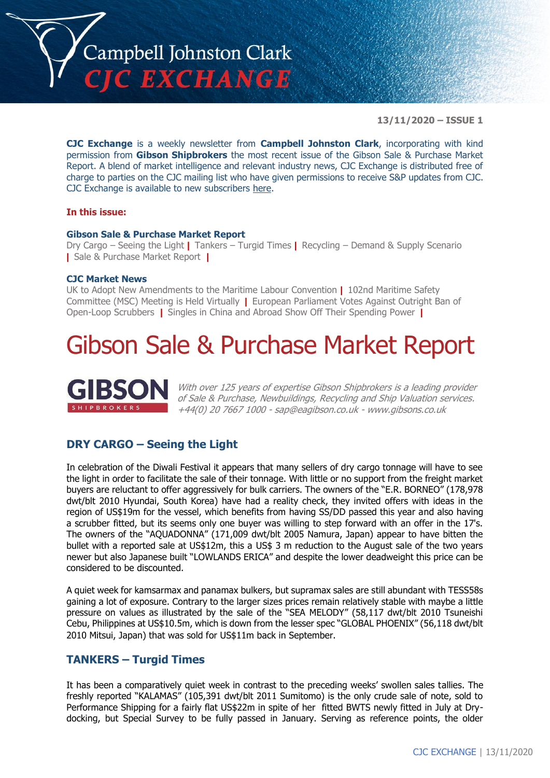

**13/11/2020 – ISSUE 1**

**CJC Exchange** is a weekly newsletter from **Campbell Johnston Clark**, incorporating with kind permission from **Gibson Shipbrokers** the most recent issue of the Gibson Sale & Purchase Market Report. A blend of market intelligence and relevant industry news, CJC Exchange is distributed free of charge to parties on the CJC mailing list who have given permissions to receive S&P updates from CJC. CJC Exchange is available to new subscribers [here.](mailto:jamesc@cjclaw.com?subject=CJC%20Exchange%20sign-up)

#### **In this issue:**

#### **Gibson Sale & Purchase Market Report**

Dry Cargo – Seeing the Light **|** Tankers – Turgid Times **|** Recycling – Demand & Supply Scenario **|** Sale & Purchase Market Report **|**

#### **CJC Market News**

UK to Adopt New Amendments to the Maritime Labour Convention **|** 102nd Maritime Safety Committee (MSC) Meeting is Held Virtually **|** European Parliament Votes Against Outright Ban of Open-Loop Scrubbers **|** Singles in China and Abroad Show Off Their Spending Power **|**

## Gibson Sale & Purchase Market Report



With over 125 years of expertise Gibson Shipbrokers is a leading provider of Sale & Purchase, Newbuildings, Recycling and Ship Valuation services. +44(0) 20 7667 1000 - [sap@eagibson.co.uk](mailto:sap@eagibson.co.uk) - [www.gibsons.co.uk](https://protect-eu.mimecast.com/s/VO6nCGZzRS60KqcK1jQh/)

#### **DRY CARGO – Seeing the Light**

In celebration of the Diwali Festival it appears that many sellers of dry cargo tonnage will have to see the light in order to facilitate the sale of their tonnage. With little or no support from the freight market buyers are reluctant to offer aggressively for bulk carriers. The owners of the "E.R. BORNEO" (178,978 dwt/blt 2010 Hyundai, South Korea) have had a reality check, they invited offers with ideas in the region of US\$19m for the vessel, which benefits from having SS/DD passed this year and also having a scrubber fitted, but its seems only one buyer was willing to step forward with an offer in the 17's. The owners of the "AQUADONNA" (171,009 dwt/blt 2005 Namura, Japan) appear to have bitten the bullet with a reported sale at US\$12m, this a US\$ 3 m reduction to the August sale of the two years newer but also Japanese built "LOWLANDS ERICA" and despite the lower deadweight this price can be considered to be discounted.

A quiet week for kamsarmax and panamax bulkers, but supramax sales are still abundant with TESS58s gaining a lot of exposure. Contrary to the larger sizes prices remain relatively stable with maybe a little pressure on values as illustrated by the sale of the "SEA MELODY" (58,117 dwt/blt 2010 Tsuneishi Cebu, Philippines at US\$10.5m, which is down from the lesser spec "GLOBAL PHOENIX" (56,118 dwt/blt 2010 Mitsui, Japan) that was sold for US\$11m back in September.

#### **TANKERS – Turgid Times**

It has been a comparatively quiet week in contrast to the preceding weeks' swollen sales tallies. The freshly reported "KALAMAS" (105,391 dwt/blt 2011 Sumitomo) is the only crude sale of note, sold to Performance Shipping for a fairly flat US\$22m in spite of her fitted BWTS newly fitted in July at Drydocking, but Special Survey to be fully passed in January. Serving as reference points, the older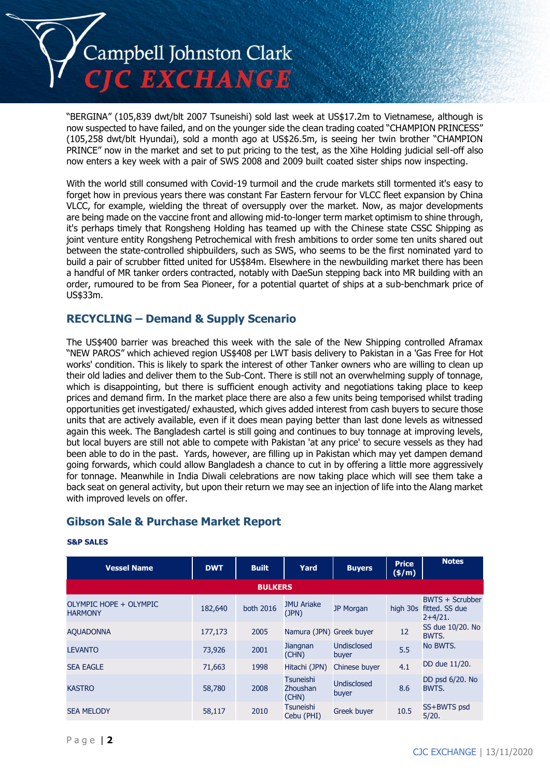

"BERGINA" (105,839 dwt/blt 2007 Tsuneishi) sold last week at US\$17.2m to Vietnamese, although is now suspected to have failed, and on the younger side the clean trading coated "CHAMPION PRINCESS" (105,258 dwt/blt Hyundai), sold a month ago at US\$26.5m, is seeing her twin brother "CHAMPION PRINCE" now in the market and set to put pricing to the test, as the Xihe Holding judicial sell-off also now enters a key week with a pair of SWS 2008 and 2009 built coated sister ships now inspecting.

With the world still consumed with Covid-19 turmoil and the crude markets still tormented it's easy to forget how in previous years there was constant Far Eastern fervour for VLCC fleet expansion by China VLCC, for example, wielding the threat of oversupply over the market. Now, as major developments are being made on the vaccine front and allowing mid-to-longer term market optimism to shine through, it's perhaps timely that Rongsheng Holding has teamed up with the Chinese state CSSC Shipping as joint venture entity Rongsheng Petrochemical with fresh ambitions to order some ten units shared out between the state-controlled shipbuilders, such as SWS, who seems to be the first nominated yard to build a pair of scrubber fitted united for US\$84m. Elsewhere in the newbuilding market there has been a handful of MR tanker orders contracted, notably with DaeSun stepping back into MR building with an order, rumoured to be from Sea Pioneer, for a potential quartet of ships at a sub-benchmark price of US\$33m.

#### **RECYCLING – Demand & Supply Scenario**

The US\$400 barrier was breached this week with the sale of the New Shipping controlled Aframax "NEW PAROS" which achieved region US\$408 per LWT basis delivery to Pakistan in a 'Gas Free for Hot works' condition. This is likely to spark the interest of other Tanker owners who are willing to clean up their old ladies and deliver them to the Sub-Cont. There is still not an overwhelming supply of tonnage, which is disappointing, but there is sufficient enough activity and negotiations taking place to keep prices and demand firm. In the market place there are also a few units being temporised whilst trading opportunities get investigated/ exhausted, which gives added interest from cash buyers to secure those units that are actively available, even if it does mean paying better than last done levels as witnessed again this week. The Bangladesh cartel is still going and continues to buy tonnage at improving levels, but local buyers are still not able to compete with Pakistan 'at any price' to secure vessels as they had been able to do in the past. Yards, however, are filling up in Pakistan which may yet dampen demand going forwards, which could allow Bangladesh a chance to cut in by offering a little more aggressively for tonnage. Meanwhile in India Diwali celebrations are now taking place which will see them take a back seat on general activity, but upon their return we may see an injection of life into the Alang market with improved levels on offer.

#### **Gibson Sale & Purchase Market Report**

| <b>Vessel Name</b>                       | <b>DWT</b> | <b>Built</b>   | Yard                           | <b>Buyers</b>               | <b>Price</b><br>(\$/m) | <b>Notes</b>                                   |
|------------------------------------------|------------|----------------|--------------------------------|-----------------------------|------------------------|------------------------------------------------|
|                                          |            | <b>BULKERS</b> |                                |                             |                        |                                                |
| OLYMPIC HOPE + OLYMPIC<br><b>HARMONY</b> | 182,640    | both 2016      | <b>JMU Ariake</b><br>(JPN)     | <b>JP Morgan</b>            | high 30s               | BWTS + Scrubber<br>fitted. SS due<br>$2+4/21.$ |
| <b>AQUADONNA</b>                         | 177,173    | 2005           | Namura (JPN) Greek buyer       |                             | 12                     | SS due 10/20. No<br>BWTS.                      |
| <b>LEVANTO</b>                           | 73,926     | 2001           | <b>Jiangnan</b><br>(CHN)       | <b>Undisclosed</b><br>buyer | 5.5                    | No BWTS.                                       |
| <b>SEA EAGLE</b>                         | 71,663     | 1998           | Hitachi (JPN)                  | Chinese buyer               | 4.1                    | DD due 11/20.                                  |
| <b>KASTRO</b>                            | 58,780     | 2008           | Tsuneishi<br>Zhoushan<br>(CHN) | <b>Undisclosed</b><br>buyer | 8.6                    | DD psd 6/20. No<br>BWTS.                       |
| <b>SEA MELODY</b>                        | 58,117     | 2010           | <b>Tsuneishi</b><br>Cebu (PHI) | <b>Greek buyer</b>          | 10.5                   | SS+BWTS psd<br>5/20.                           |

#### **S&P SALES**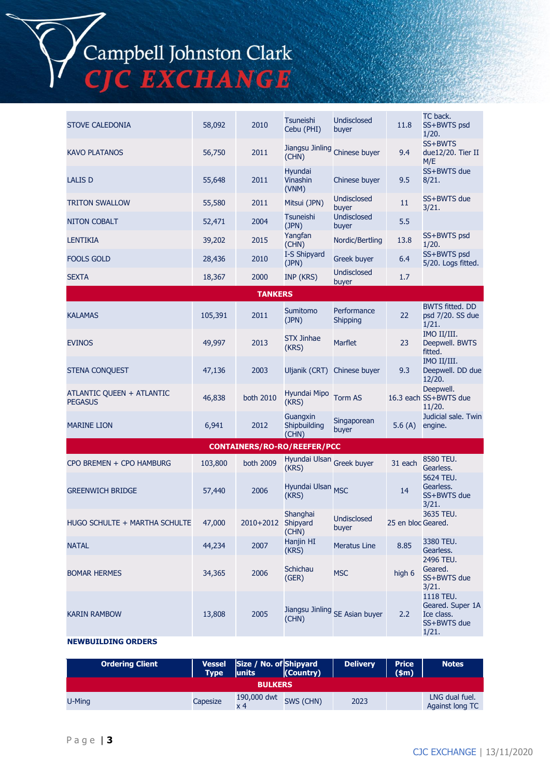Campbell Johnston Clark<br>CJC EXCHANGE

| <b>STOVE CALEDONIA</b>                      | 58,092  | 2010           | Tsuneishi<br>Cebu (PHI)                    | <b>Undisclosed</b><br>buyer    | 11.8               | TC back.<br>SS+BWTS psd<br>1/20.                                    |
|---------------------------------------------|---------|----------------|--------------------------------------------|--------------------------------|--------------------|---------------------------------------------------------------------|
| <b>KAVO PLATANOS</b>                        | 56,750  | 2011           | (CHN)                                      | Jiangsu Jinling Chinese buyer  | 9.4                | SS+BWTS<br>due12/20. Tier II<br>M/E                                 |
| <b>LALIS D</b>                              | 55,648  | 2011           | <b>Hyundai</b><br><b>Vinashin</b><br>(VNM) | Chinese buyer                  | 9.5                | SS+BWTS due<br>8/21.                                                |
| <b>TRITON SWALLOW</b>                       | 55,580  | 2011           | Mitsui (JPN)                               | <b>Undisclosed</b><br>buyer    | 11                 | SS+BWTS due<br>3/21.                                                |
| <b>NITON COBALT</b>                         | 52,471  | 2004           | Tsuneishi<br>(JPN)                         | <b>Undisclosed</b><br>buyer    | 5.5                |                                                                     |
| <b>LENTIKIA</b>                             | 39,202  | 2015           | Yangfan<br>(CHN)                           | Nordic/Bertling                | 13.8               | SS+BWTS psd<br>1/20.                                                |
| <b>FOOLS GOLD</b>                           | 28,436  | 2010           | I-S Shipyard<br>(JPN)                      | <b>Greek buyer</b>             | 6.4                | SS+BWTS psd<br>5/20. Logs fitted.                                   |
| <b>SEXTA</b>                                | 18,367  | 2000           | INP (KRS)                                  | <b>Undisclosed</b><br>buyer    | 1.7                |                                                                     |
|                                             |         | <b>TANKERS</b> |                                            |                                |                    |                                                                     |
| <b>KALAMAS</b>                              | 105,391 | 2011           | <b>Sumitomo</b><br>(JPN)                   | Performance<br><b>Shipping</b> | 22                 | <b>BWTS fitted. DD</b><br>psd 7/20. SS due<br>1/21.                 |
| <b>EVINOS</b>                               | 49,997  | 2013           | <b>STX Jinhae</b><br>(KRS)                 | Marflet                        | 23                 | IMO II/III.<br>Deepwell. BWTS<br>fitted.                            |
| <b>STENA CONQUEST</b>                       | 47,136  | 2003           |                                            | Uljanik (CRT) Chinese buyer    | 9.3                | IMO II/III.<br>Deepwell. DD due<br>12/20.                           |
| ATLANTIC QUEEN + ATLANTIC<br><b>PEGASUS</b> | 46,838  | both 2010      | Hyundai Mipo<br>(KRS)                      | <b>Torm AS</b>                 |                    | Deepwell.<br>16.3 each SS+BWTS due<br>11/20.                        |
| <b>MARINE LION</b>                          | 6,941   | 2012           | Guangxin<br>Shipbuilding<br>(CHN)          | Singaporean<br>buyer           | 5.6 $(A)$          | Judicial sale. Twin<br>engine.                                      |
|                                             |         |                | <b>CONTAINERS/RO-RO/REEFER/PCC</b>         |                                |                    |                                                                     |
| CPO BREMEN + CPO HAMBURG                    | 103,800 | both 2009      | Hyundai Ulsan Greek buyer<br>(KRS)         |                                | 31 each            | 8580 TEU.<br>Gearless.                                              |
| <b>GREENWICH BRIDGE</b>                     | 57,440  | 2006           | Hyundai Ulsan MSC<br>(KRS)                 |                                | 14                 | 5624 TEU.<br>Gearless.<br>SS+BWTS due<br>3/21.                      |
| HUGO SCHULTE + MARTHA SCHULTE               | 47,000  | 2010+2012      | Shanghai<br>Shipyard<br>(CHN)              | <b>Undisclosed</b><br>buyer    | 25 en bloc Geared. | 3635 TEU.                                                           |
| <b>NATAL</b>                                | 44,234  | 2007           | Hanjin HI<br>(KRS)                         | <b>Meratus Line</b>            | 8.85               | 3380 TEU.<br>Gearless.                                              |
| <b>BOMAR HERMES</b>                         | 34,365  | 2006           | Schichau<br>(GER)                          | <b>MSC</b>                     | high 6             | 2496 TEU.<br>Geared.<br>SS+BWTS due<br>3/21.                        |
| <b>KARIN RAMBOW</b>                         | 13,808  | 2005           | (CHN)                                      | Jiangsu Jinling SE Asian buyer | 2.2                | 1118 TEU.<br>Geared. Super 1A<br>Ice class.<br>SS+BWTS due<br>1/21. |
| <b>NEWBUILDING ORDERS</b>                   |         |                |                                            |                                |                    |                                                                     |

| <b>Ordering Client</b> | Vessel<br>Type <b>I</b> | Size / No. of Shipyard<br><b>lunits</b> | $ $ (Country) | <b>Delivery</b> | <b>Price</b><br>(s <sub>m</sub> ) | Notes                             |
|------------------------|-------------------------|-----------------------------------------|---------------|-----------------|-----------------------------------|-----------------------------------|
|                        |                         | <b>BULKERS</b>                          |               |                 |                                   |                                   |
| U-Ming                 | Capesize                | 190,000 dwt<br>$\times 4$               | SWS (CHN)     | 2023            |                                   | LNG dual fuel.<br>Against long TC |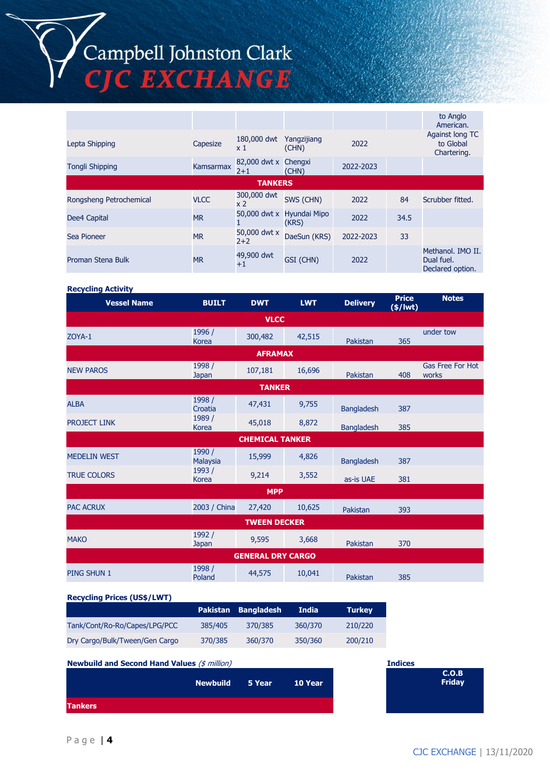# Campbell Johnston Clark<br>CJC EXCHANGE

|                         |             |                                 |                                    |           |      | to Anglo<br>American.                               |
|-------------------------|-------------|---------------------------------|------------------------------------|-----------|------|-----------------------------------------------------|
| Lepta Shipping          | Capesize    | 180,000 dwt<br>x 1              | Yangzijiang<br>(CHN)               | 2022      |      | Against long TC<br>to Global<br>Chartering.         |
| <b>Tongli Shipping</b>  | Kamsarmax   | 82,000 dwt x Chengxi<br>$2 + 1$ | (CHN)                              | 2022-2023 |      |                                                     |
|                         |             | <b>TANKERS</b>                  |                                    |           |      |                                                     |
| Rongsheng Petrochemical | <b>VLCC</b> | 300,000 dwt<br>x 2              | SWS (CHN)                          | 2022      | 84   | Scrubber fitted.                                    |
| Dee4 Capital            | <b>MR</b>   |                                 | 50,000 dwt x Hyundai Mipo<br>(KRS) | 2022      | 34.5 |                                                     |
| Sea Pioneer             | <b>MR</b>   | 50,000 dwt x<br>$2+2$           | DaeSun (KRS)                       | 2022-2023 | 33   |                                                     |
| Proman Stena Bulk       | <b>MR</b>   | 49,900 dwt<br>$+1$              | GSI (CHN)                          | 2022      |      | Methanol. IMO II.<br>Dual fuel.<br>Declared option. |

#### **Recycling Activity**

| <b>Vessel Name</b>  | <b>BUILT</b>              | <b>DWT</b>               | <b>LWT</b> | <b>Delivery</b>   | <b>Price</b><br>$(*)$ /wt) | <b>Notes</b>                     |
|---------------------|---------------------------|--------------------------|------------|-------------------|----------------------------|----------------------------------|
|                     |                           | <b>VLCC</b>              |            |                   |                            |                                  |
| ZOYA-1              | 1996 /<br><b>Korea</b>    | 300,482                  | 42,515     | Pakistan          | 365                        | under tow                        |
|                     |                           | <b>AFRAMAX</b>           |            |                   |                            |                                  |
| <b>NEW PAROS</b>    | 1998 /<br><b>Japan</b>    | 107,181                  | 16,696     | Pakistan          | 408                        | <b>Gas Free For Hot</b><br>works |
|                     |                           | <b>TANKER</b>            |            |                   |                            |                                  |
| <b>ALBA</b>         | 1998 /<br>Croatia         | 47,431                   | 9,755      | <b>Bangladesh</b> | 387                        |                                  |
| <b>PROJECT LINK</b> | 1989 /<br><b>Korea</b>    | 45,018                   | 8,872      | <b>Bangladesh</b> | 385                        |                                  |
|                     |                           | <b>CHEMICAL TANKER</b>   |            |                   |                            |                                  |
| <b>MEDELIN WEST</b> | 1990 /<br><b>Malaysia</b> | 15,999                   | 4,826      | <b>Bangladesh</b> | 387                        |                                  |
| <b>TRUE COLORS</b>  | 1993 /<br><b>Korea</b>    | 9,214                    | 3,552      | as-is UAE         | 381                        |                                  |
|                     |                           | <b>MPP</b>               |            |                   |                            |                                  |
| <b>PAC ACRUX</b>    | 2003 / China              | 27,420                   | 10,625     | Pakistan          | 393                        |                                  |
|                     |                           | <b>TWEEN DECKER</b>      |            |                   |                            |                                  |
| <b>MAKO</b>         | 1992 /<br><b>Japan</b>    | 9,595                    | 3,668      | Pakistan          | 370                        |                                  |
|                     |                           | <b>GENERAL DRY CARGO</b> |            |                   |                            |                                  |
| <b>PING SHUN 1</b>  | 1998 /<br>Poland          | 44,575                   | 10,041     | Pakistan          | 385                        |                                  |

#### **Recycling Prices (US\$/LWT)**

|                                |         | Pakistan Bangladesh | <b>India</b> | <b>Turkey</b> |
|--------------------------------|---------|---------------------|--------------|---------------|
| Tank/Cont/Ro-Ro/Capes/LPG/PCC  | 385/405 | 370/385             | 360/370      | 210/220       |
| Dry Cargo/Bulk/Tween/Gen Cargo | 370/385 | 360/370             | 350/360      | 200/210       |

### **Newbuild and Second Hand Values** (\$ million) **Indices Newbuild 5 Year 10 Year Tankers**

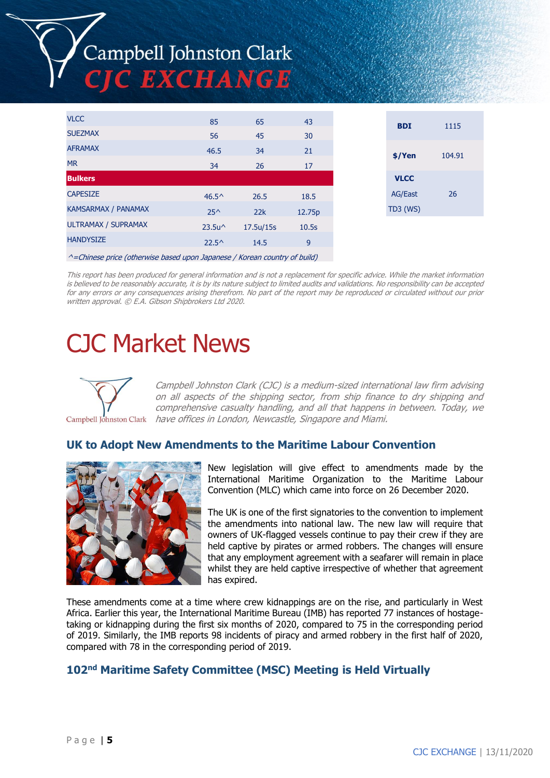## Campbell Johnston Clark **TE EXCHANGE**

| <b>VLCC</b>                | 85               | 65        | 43     |
|----------------------------|------------------|-----------|--------|
| <b>SUEZMAX</b>             | 56               | 45        | 30     |
| <b>AFRAMAX</b>             | 46.5             | 34        | 21     |
| <b>MR</b>                  | 34               | 26        | 17     |
| <b>Bulkers</b>             |                  |           |        |
| <b>CAPESIZE</b>            | $46.5^{\circ}$   | 26.5      | 18.5   |
| <b>KAMSARMAX / PANAMAX</b> | $25^$            | 22k       | 12.75p |
| ULTRAMAX / SUPRAMAX        | $23.5u^{\wedge}$ | 17.5u/15s | 10.5s  |
| <b>HANDYSIZE</b>           | $22.5^{\circ}$   | 14.5      | 9      |
|                            |                  |           |        |

 $^{\wedge}$ =Chinese price (otherwise based upon Japanese / Korean country of build)

This report has been produced for general information and is not a replacement for specific advice. While the market information is believed to be reasonably accurate, it is by its nature subject to limited audits and validations. No responsibility can be accepted for any errors or any consequences arising therefrom. No part of the report may be reproduced or circulated without our prior written approval. © E.A. Gibson Shipbrokers Ltd 2020.

## CJC Market News



Campbell Johnston Clark (CJC) is a medium-sized international law firm advising on all aspects of the shipping sector, from ship finance to dry shipping and comprehensive casualty handling, and all that happens in between. Today, we have offices in London, Newcastle, Singapore and Miami.

#### **UK to Adopt New Amendments to the Maritime Labour Convention**



New legislation will give effect to amendments made by the International Maritime Organization to the Maritime Labour Convention (MLC) which came into force on 26 December 2020.

The UK is one of the first signatories to the convention to implement the amendments into national law. The new law will require that owners of UK-flagged vessels continue to pay their crew if they are held captive by pirates or armed robbers. The changes will ensure that any employment agreement with a seafarer will remain in place whilst they are held captive irrespective of whether that agreement has expired.

These amendments come at a time where crew kidnappings are on the rise, and particularly in West Africa. Earlier this year, the International Maritime Bureau (IMB) has reported 77 instances of hostagetaking or kidnapping during the first six months of 2020, compared to 75 in the corresponding period of 2019. Similarly, the IMB reports 98 incidents of piracy and armed robbery in the first half of 2020, compared with 78 in the corresponding period of 2019.

#### **102nd Maritime Safety Committee (MSC) Meeting is Held Virtually**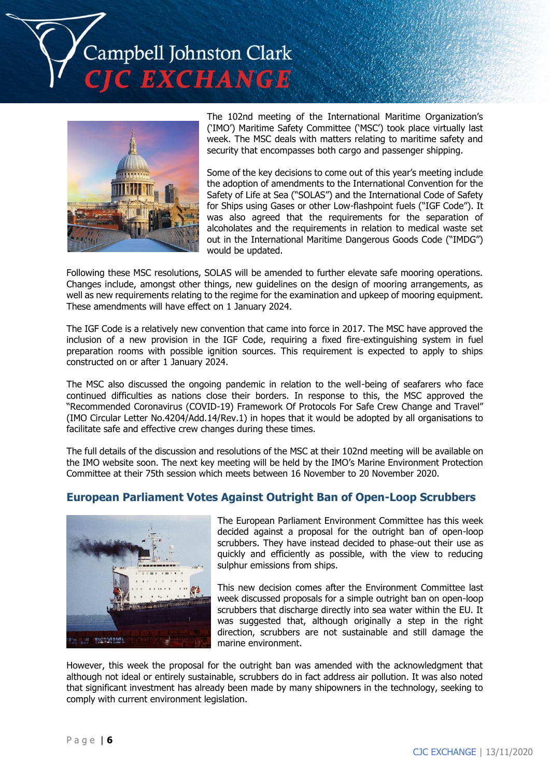ampbell Johnston Clark **EXCHANGE** 



The 102nd meeting of the International Maritime Organization's ('IMO') Maritime Safety Committee ('MSC') took place virtually last week. The MSC deals with matters relating to maritime safety and security that encompasses both cargo and passenger shipping.

Some of the key decisions to come out of this year's meeting include the adoption of amendments to the International Convention for the Safety of Life at Sea ("SOLAS") and the International Code of Safety for Ships using Gases or other Low-flashpoint fuels ("IGF Code"). It was also agreed that the requirements for the separation of alcoholates and the requirements in relation to medical waste set out in the International Maritime Dangerous Goods Code ("IMDG") would be updated.

Following these MSC resolutions, SOLAS will be amended to further elevate safe mooring operations. Changes include, amongst other things, new guidelines on the design of mooring arrangements, as well as new requirements relating to the regime for the examination and upkeep of mooring equipment. These amendments will have effect on 1 January 2024.

The IGF Code is a relatively new convention that came into force in 2017. The MSC have approved the inclusion of a new provision in the IGF Code, requiring a fixed fire-extinguishing system in fuel preparation rooms with possible ignition sources. This requirement is expected to apply to ships constructed on or after 1 January 2024.

The MSC also discussed the ongoing pandemic in relation to the well-being of seafarers who face continued difficulties as nations close their borders. In response to this, the MSC approved the "Recommended Coronavirus (COVID-19) Framework Of Protocols For Safe Crew Change and Travel" (IMO Circular Letter No.4204/Add.14/Rev.1) in hopes that it would be adopted by all organisations to facilitate safe and effective crew changes during these times.

The full details of the discussion and resolutions of the MSC at their 102nd meeting will be available on the IMO website soon. The next key meeting will be held by the IMO's Marine Environment Protection Committee at their 75th session which meets between 16 November to 20 November 2020.

#### **European Parliament Votes Against Outright Ban of Open-Loop Scrubbers**



The European Parliament Environment Committee has this week decided against a proposal for the outright ban of open-loop scrubbers. They have instead decided to phase-out their use as quickly and efficiently as possible, with the view to reducing sulphur emissions from ships.

This new decision comes after the Environment Committee last week discussed proposals for a simple outright ban on open-loop scrubbers that discharge directly into sea water within the EU. It was suggested that, although originally a step in the right direction, scrubbers are not sustainable and still damage the marine environment.

However, this week the proposal for the outright ban was amended with the acknowledgment that although not ideal or entirely sustainable, scrubbers do in fact address air pollution. It was also noted that significant investment has already been made by many shipowners in the technology, seeking to comply with current environment legislation.